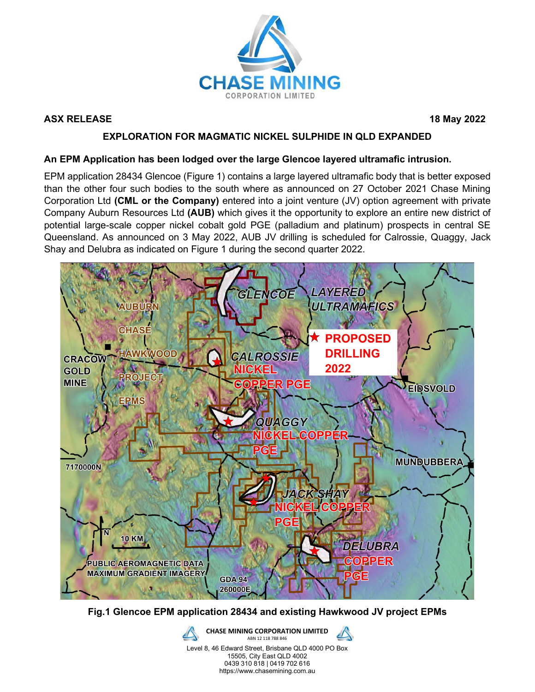

### **ASX RELEASE 18 May 2022**

### **EXPLORATION FOR MAGMATIC NICKEL SULPHIDE IN QLD EXPANDED**

#### **An EPM Application has been lodged over the large Glencoe layered ultramafic intrusion.**

EPM application 28434 Glencoe (Figure 1) contains a large layered ultramafic body that is better exposed than the other four such bodies to the south where as announced on 27 October 2021 Chase Mining Corporation Ltd **(CML or the Company)** entered into a joint venture (JV) option agreement with private Company Auburn Resources Ltd **(AUB)** which gives it the opportunity to explore an entire new district of potential large-scale copper nickel cobalt gold PGE (palladium and platinum) prospects in central SE Queensland. As announced on 3 May 2022, AUB JV drilling is scheduled for Calrossie, Quaggy, Jack Shay and Delubra as indicated on Figure 1 during the second quarter 2022.



**Fig.1 Glencoe EPM application 28434 and existing Hawkwood JV project EPMs**

**CHASE MINING CORPORATION LIMITED** ABN 12 118 788 846 Level 8, 46 Edward Street, Brisbane QLD 4000 PO Box 15505, City East QLD 4002 0439 310 818 | 0419 702 616 https://www.chasemining.com.au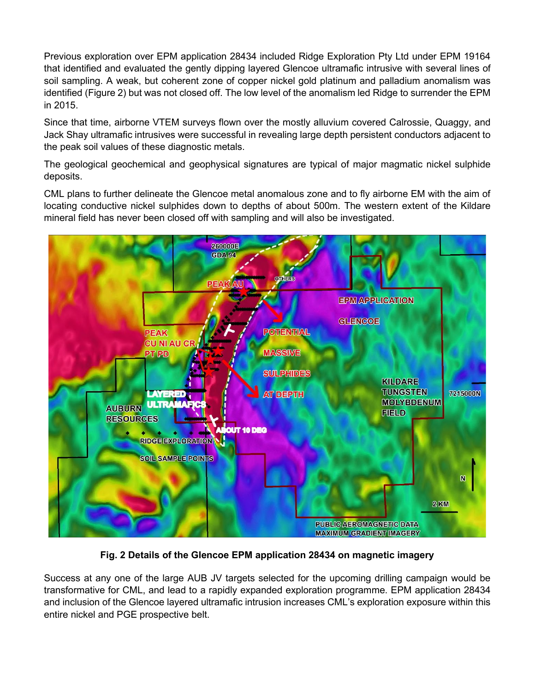Previous exploration over EPM application 28434 included Ridge Exploration Pty Ltd under EPM 19164 that identified and evaluated the gently dipping layered Glencoe ultramafic intrusive with several lines of soil sampling. A weak, but coherent zone of copper nickel gold platinum and palladium anomalism was identified (Figure 2) but was not closed off. The low level of the anomalism led Ridge to surrender the EPM in 2015.

Since that time, airborne VTEM surveys flown over the mostly alluvium covered Calrossie, Quaggy, and Jack Shay ultramafic intrusives were successful in revealing large depth persistent conductors adjacent to the peak soil values of these diagnostic metals.

The geological geochemical and geophysical signatures are typical of major magmatic nickel sulphide deposits.

CML plans to further delineate the Glencoe metal anomalous zone and to fly airborne EM with the aim of locating conductive nickel sulphides down to depths of about 500m. The western extent of the Kildare mineral field has never been closed off with sampling and will also be investigated.



**Fig. 2 Details of the Glencoe EPM application 28434 on magnetic imagery**

Success at any one of the large AUB JV targets selected for the upcoming drilling campaign would be transformative for CML, and lead to a rapidly expanded exploration programme. EPM application 28434 and inclusion of the Glencoe layered ultramafic intrusion increases CML's exploration exposure within this entire nickel and PGE prospective belt.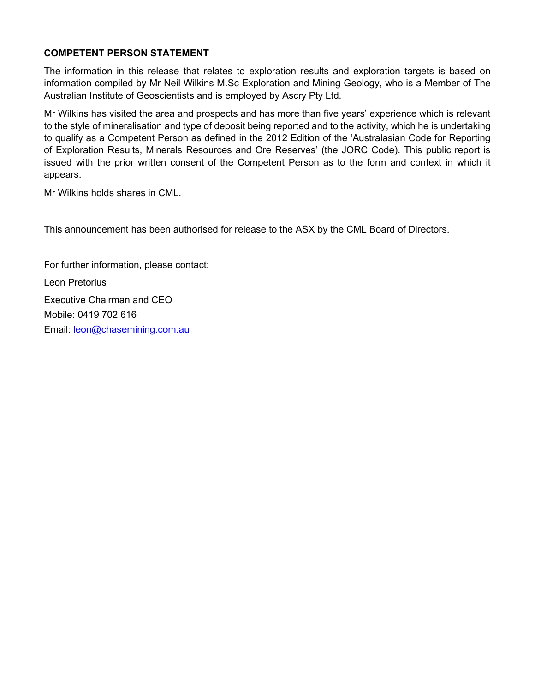### **COMPETENT PERSON STATEMENT**

The information in this release that relates to exploration results and exploration targets is based on information compiled by Mr Neil Wilkins M.Sc Exploration and Mining Geology, who is a Member of The Australian Institute of Geoscientists and is employed by Ascry Pty Ltd.

Mr Wilkins has visited the area and prospects and has more than five years' experience which is relevant to the style of mineralisation and type of deposit being reported and to the activity, which he is undertaking to qualify as a Competent Person as defined in the 2012 Edition of the 'Australasian Code for Reporting of Exploration Results, Minerals Resources and Ore Reserves' (the JORC Code). This public report is issued with the prior written consent of the Competent Person as to the form and context in which it appears.

Mr Wilkins holds shares in CML.

This announcement has been authorised for release to the ASX by the CML Board of Directors.

For further information, please contact: Leon Pretorius Executive Chairman and CEO Mobile: 0419 702 616 Email: [leon@chasemining.com.au](mailto:leon@chasemining.com.au)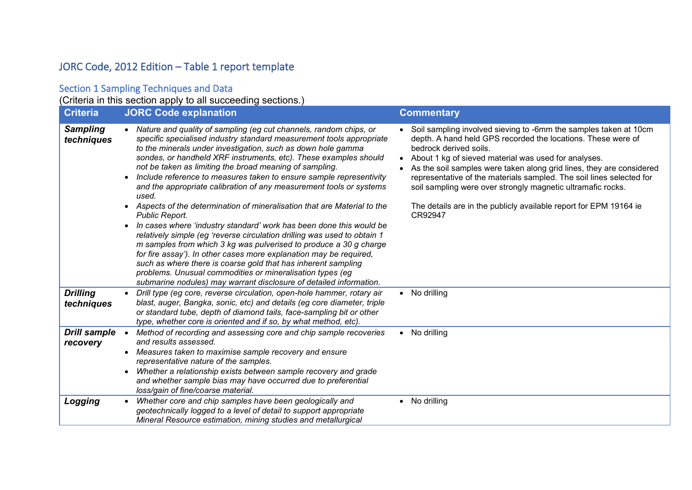## JORC Code, 2012 Edition – Table 1 report template

### Section 1 Sampling Techniques and Data

(Criteria in this section apply to all succeeding sections.)

| <b>Criteria</b>                 | <b>JORC Code explanation</b>                                                                                                                                                                                                                                                                                                                                                                                                                                                                                                                                                                                                                                                                                                                                                                                                                                                                                                                                                                                                                                                                                                          | <b>Commentary</b>                                                                                                                                                                                                                                                                                                                                                                                                                                                                                                 |
|---------------------------------|---------------------------------------------------------------------------------------------------------------------------------------------------------------------------------------------------------------------------------------------------------------------------------------------------------------------------------------------------------------------------------------------------------------------------------------------------------------------------------------------------------------------------------------------------------------------------------------------------------------------------------------------------------------------------------------------------------------------------------------------------------------------------------------------------------------------------------------------------------------------------------------------------------------------------------------------------------------------------------------------------------------------------------------------------------------------------------------------------------------------------------------|-------------------------------------------------------------------------------------------------------------------------------------------------------------------------------------------------------------------------------------------------------------------------------------------------------------------------------------------------------------------------------------------------------------------------------------------------------------------------------------------------------------------|
| <b>Sampling</b><br>techniques   | Nature and quality of sampling (eg cut channels, random chips, or<br>$\bullet$<br>specific specialised industry standard measurement tools appropriate<br>to the minerals under investigation, such as down hole gamma<br>sondes, or handheld XRF instruments, etc). These examples should<br>not be taken as limiting the broad meaning of sampling.<br>Include reference to measures taken to ensure sample representivity<br>and the appropriate calibration of any measurement tools or systems<br>used.<br>Aspects of the determination of mineralisation that are Material to the<br>$\bullet$<br>Public Report.<br>In cases where 'industry standard' work has been done this would be<br>$\bullet$<br>relatively simple (eg 'reverse circulation drilling was used to obtain 1<br>m samples from which 3 kg was pulverised to produce a 30 g charge<br>for fire assay'). In other cases more explanation may be required,<br>such as where there is coarse gold that has inherent sampling<br>problems. Unusual commodities or mineralisation types (eg<br>submarine nodules) may warrant disclosure of detailed information. | Soil sampling involved sieving to -6mm the samples taken at 10cm<br>depth. A hand held GPS recorded the locations. These were of<br>bedrock derived soils.<br>About 1 kg of sieved material was used for analyses.<br>As the soil samples were taken along grid lines, they are considered<br>representative of the materials sampled. The soil lines selected for<br>soil sampling were over strongly magnetic ultramafic rocks.<br>The details are in the publicly available report for EPM 19164 ie<br>CR92947 |
| <b>Drilling</b><br>techniques   | Drill type (eg core, reverse circulation, open-hole hammer, rotary air<br>$\bullet$<br>blast, auger, Bangka, sonic, etc) and details (eg core diameter, triple<br>or standard tube, depth of diamond tails, face-sampling bit or other<br>type, whether core is oriented and if so, by what method, etc).                                                                                                                                                                                                                                                                                                                                                                                                                                                                                                                                                                                                                                                                                                                                                                                                                             | No drilling                                                                                                                                                                                                                                                                                                                                                                                                                                                                                                       |
| <b>Drill sample</b><br>recovery | Method of recording and assessing core and chip sample recoveries<br>$\bullet$<br>and results assessed.<br>Measures taken to maximise sample recovery and ensure<br>$\bullet$<br>representative nature of the samples.<br>Whether a relationship exists between sample recovery and grade<br>$\bullet$<br>and whether sample bias may have occurred due to preferential<br>loss/gain of fine/coarse material.                                                                                                                                                                                                                                                                                                                                                                                                                                                                                                                                                                                                                                                                                                                         | No drilling                                                                                                                                                                                                                                                                                                                                                                                                                                                                                                       |
| Logging                         | Whether core and chip samples have been geologically and<br>geotechnically logged to a level of detail to support appropriate<br>Mineral Resource estimation, mining studies and metallurgical                                                                                                                                                                                                                                                                                                                                                                                                                                                                                                                                                                                                                                                                                                                                                                                                                                                                                                                                        | No drilling                                                                                                                                                                                                                                                                                                                                                                                                                                                                                                       |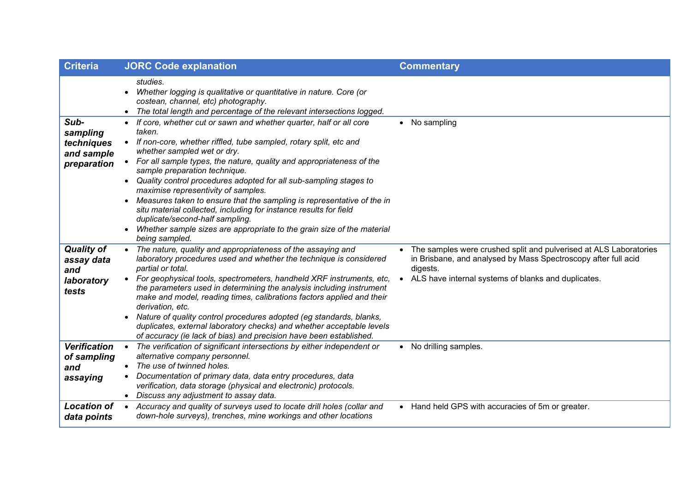| <b>Criteria</b>                                               | <b>JORC Code explanation</b>                                                                                                                                                                                                                                                                                                                                                                                                                                                                                                                                                                                                                                                                | <b>Commentary</b>                                                                                                                                                                                      |
|---------------------------------------------------------------|---------------------------------------------------------------------------------------------------------------------------------------------------------------------------------------------------------------------------------------------------------------------------------------------------------------------------------------------------------------------------------------------------------------------------------------------------------------------------------------------------------------------------------------------------------------------------------------------------------------------------------------------------------------------------------------------|--------------------------------------------------------------------------------------------------------------------------------------------------------------------------------------------------------|
|                                                               | studies.<br>Whether logging is qualitative or quantitative in nature. Core (or<br>costean, channel, etc) photography.<br>• The total length and percentage of the relevant intersections logged.                                                                                                                                                                                                                                                                                                                                                                                                                                                                                            |                                                                                                                                                                                                        |
| Sub-<br>sampling<br>techniques<br>and sample<br>preparation   | • If core, whether cut or sawn and whether quarter, half or all core<br>taken.<br>• If non-core, whether riffled, tube sampled, rotary split, etc and<br>whether sampled wet or dry.<br>• For all sample types, the nature, quality and appropriateness of the<br>sample preparation technique.<br>• Quality control procedures adopted for all sub-sampling stages to<br>maximise representivity of samples.<br>Measures taken to ensure that the sampling is representative of the in<br>situ material collected, including for instance results for field<br>duplicate/second-half sampling.<br>Whether sample sizes are appropriate to the grain size of the material<br>being sampled. | • No sampling                                                                                                                                                                                          |
| <b>Quality of</b><br>assay data<br>and<br>laboratory<br>tests | • The nature, quality and appropriateness of the assaying and<br>laboratory procedures used and whether the technique is considered<br>partial or total.<br>• For geophysical tools, spectrometers, handheld XRF instruments, etc,<br>the parameters used in determining the analysis including instrument<br>make and model, reading times, calibrations factors applied and their<br>derivation, etc.<br>Nature of quality control procedures adopted (eg standards, blanks,<br>duplicates, external laboratory checks) and whether acceptable levels<br>of accuracy (ie lack of bias) and precision have been established.                                                               | The samples were crushed split and pulverised at ALS Laboratories<br>in Brisbane, and analysed by Mass Spectroscopy after full acid<br>digests.<br>ALS have internal systems of blanks and duplicates. |
| <b>Verification</b><br>of sampling<br>and<br>assaying         | The verification of significant intersections by either independent or<br>$\bullet$<br>alternative company personnel.<br>• The use of twinned holes.<br>Documentation of primary data, data entry procedures, data<br>verification, data storage (physical and electronic) protocols.<br>• Discuss any adjustment to assay data.                                                                                                                                                                                                                                                                                                                                                            | • No drilling samples.                                                                                                                                                                                 |
| <b>Location of</b><br>data points                             | • Accuracy and quality of surveys used to locate drill holes (collar and<br>down-hole surveys), trenches, mine workings and other locations                                                                                                                                                                                                                                                                                                                                                                                                                                                                                                                                                 | • Hand held GPS with accuracies of 5m or greater.                                                                                                                                                      |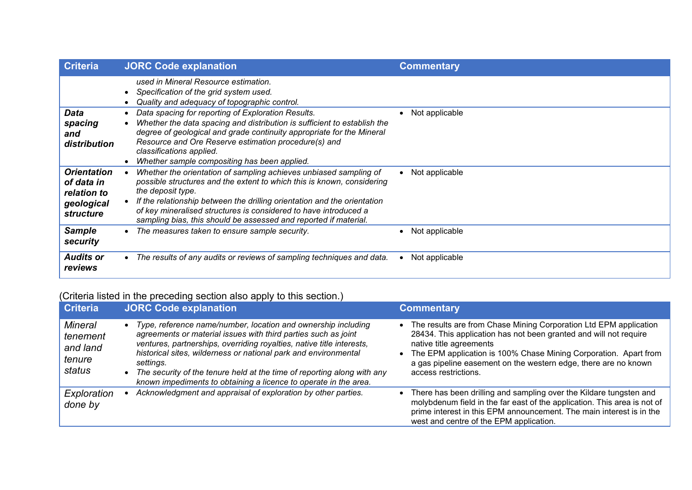| <b>Criteria</b>                                                                   | <b>JORC Code explanation</b>                                                                                                                                                                                                                                                                                                                                                         | <b>Commentary</b> |
|-----------------------------------------------------------------------------------|--------------------------------------------------------------------------------------------------------------------------------------------------------------------------------------------------------------------------------------------------------------------------------------------------------------------------------------------------------------------------------------|-------------------|
|                                                                                   | used in Mineral Resource estimation.<br>Specification of the grid system used.<br>Quality and adequacy of topographic control.                                                                                                                                                                                                                                                       |                   |
| Data<br>spacing<br>and<br>distribution                                            | Data spacing for reporting of Exploration Results.<br>Whether the data spacing and distribution is sufficient to establish the<br>degree of geological and grade continuity appropriate for the Mineral<br>Resource and Ore Reserve estimation procedure(s) and<br>classifications applied.<br>Whether sample compositing has been applied.                                          | Not applicable    |
| <b>Orientation</b><br>of data in<br>relation to<br>geological<br><i>structure</i> | Whether the orientation of sampling achieves unbiased sampling of<br>possible structures and the extent to which this is known, considering<br>the deposit type.<br>If the relationship between the drilling orientation and the orientation<br>of key mineralised structures is considered to have introduced a<br>sampling bias, this should be assessed and reported if material. | Not applicable    |
| <b>Sample</b><br>security                                                         | The measures taken to ensure sample security.                                                                                                                                                                                                                                                                                                                                        | Not applicable    |
| <b>Audits or</b><br>reviews                                                       | The results of any audits or reviews of sampling techniques and data.                                                                                                                                                                                                                                                                                                                | Not applicable    |

# (Criteria listed in the preceding section also apply to this section.)

| <b>Criteria</b>                                            | <b>JORC Code explanation</b>                                                                                                                                                                                                                                                                                                                                                                                                                         | <b>Commentary</b>                                                                                                                                                                                                                                                                                                                    |
|------------------------------------------------------------|------------------------------------------------------------------------------------------------------------------------------------------------------------------------------------------------------------------------------------------------------------------------------------------------------------------------------------------------------------------------------------------------------------------------------------------------------|--------------------------------------------------------------------------------------------------------------------------------------------------------------------------------------------------------------------------------------------------------------------------------------------------------------------------------------|
| <b>Mineral</b><br>tenement<br>and land<br>tenure<br>status | Type, reference name/number, location and ownership including<br>$\bullet$<br>agreements or material issues with third parties such as joint<br>ventures, partnerships, overriding royalties, native title interests,<br>historical sites, wilderness or national park and environmental<br>settings.<br>The security of the tenure held at the time of reporting along with any<br>known impediments to obtaining a licence to operate in the area. | • The results are from Chase Mining Corporation Ltd EPM application<br>28434. This application has not been granted and will not require<br>native title agreements<br>• The EPM application is 100% Chase Mining Corporation. Apart from<br>a gas pipeline easement on the western edge, there are no known<br>access restrictions. |
| Exploration<br>done by                                     | Acknowledgment and appraisal of exploration by other parties.                                                                                                                                                                                                                                                                                                                                                                                        | There has been drilling and sampling over the Kildare tungsten and<br>molybdenum field in the far east of the application. This area is not of<br>prime interest in this EPM announcement. The main interest is in the<br>west and centre of the EPM application.                                                                    |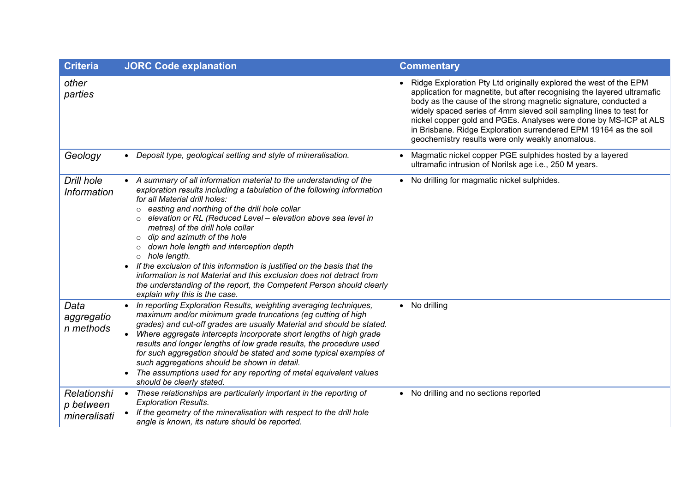| <b>Criteria</b>                          | <b>JORC Code explanation</b>                                                                                                                                                                                                                                                                                                                                                                                                                                                                                                                                                                                                                                                                                                              | <b>Commentary</b>                                                                                                                                                                                                                                                                                                                                                                                                                                                                 |
|------------------------------------------|-------------------------------------------------------------------------------------------------------------------------------------------------------------------------------------------------------------------------------------------------------------------------------------------------------------------------------------------------------------------------------------------------------------------------------------------------------------------------------------------------------------------------------------------------------------------------------------------------------------------------------------------------------------------------------------------------------------------------------------------|-----------------------------------------------------------------------------------------------------------------------------------------------------------------------------------------------------------------------------------------------------------------------------------------------------------------------------------------------------------------------------------------------------------------------------------------------------------------------------------|
| other<br>parties                         |                                                                                                                                                                                                                                                                                                                                                                                                                                                                                                                                                                                                                                                                                                                                           | Ridge Exploration Pty Ltd originally explored the west of the EPM<br>application for magnetite, but after recognising the layered ultramafic<br>body as the cause of the strong magnetic signature, conducted a<br>widely spaced series of 4mm sieved soil sampling lines to test for<br>nickel copper gold and PGEs. Analyses were done by MS-ICP at ALS<br>in Brisbane. Ridge Exploration surrendered EPM 19164 as the soil<br>geochemistry results were only weakly anomalous. |
| Geology                                  | • Deposit type, geological setting and style of mineralisation.                                                                                                                                                                                                                                                                                                                                                                                                                                                                                                                                                                                                                                                                           | Magmatic nickel copper PGE sulphides hosted by a layered<br>ultramafic intrusion of Norilsk age i.e., 250 M years.                                                                                                                                                                                                                                                                                                                                                                |
| Drill hole<br><b>Information</b>         | • A summary of all information material to the understanding of the<br>exploration results including a tabulation of the following information<br>for all Material drill holes:<br>easting and northing of the drill hole collar<br>$\circ$<br>elevation or RL (Reduced Level - elevation above sea level in<br>metres) of the drill hole collar<br>dip and azimuth of the hole<br>$\circ$<br>down hole length and interception depth<br>hole length.<br>$\circ$<br>If the exclusion of this information is justified on the basis that the<br>$\bullet$<br>information is not Material and this exclusion does not detract from<br>the understanding of the report, the Competent Person should clearly<br>explain why this is the case. | No drilling for magmatic nickel sulphides.                                                                                                                                                                                                                                                                                                                                                                                                                                        |
| Data<br>aggregatio<br>n methods          | In reporting Exploration Results, weighting averaging techniques,<br>maximum and/or minimum grade truncations (eg cutting of high<br>grades) and cut-off grades are usually Material and should be stated.<br>Where aggregate intercepts incorporate short lengths of high grade<br>$\bullet$<br>results and longer lengths of low grade results, the procedure used<br>for such aggregation should be stated and some typical examples of<br>such aggregations should be shown in detail.<br>The assumptions used for any reporting of metal equivalent values<br>$\bullet$<br>should be clearly stated.                                                                                                                                 | • No drilling                                                                                                                                                                                                                                                                                                                                                                                                                                                                     |
| Relationshi<br>p between<br>mineralisati | These relationships are particularly important in the reporting of<br>$\bullet$<br><b>Exploration Results.</b><br>If the geometry of the mineralisation with respect to the drill hole<br>angle is known, its nature should be reported.                                                                                                                                                                                                                                                                                                                                                                                                                                                                                                  | No drilling and no sections reported                                                                                                                                                                                                                                                                                                                                                                                                                                              |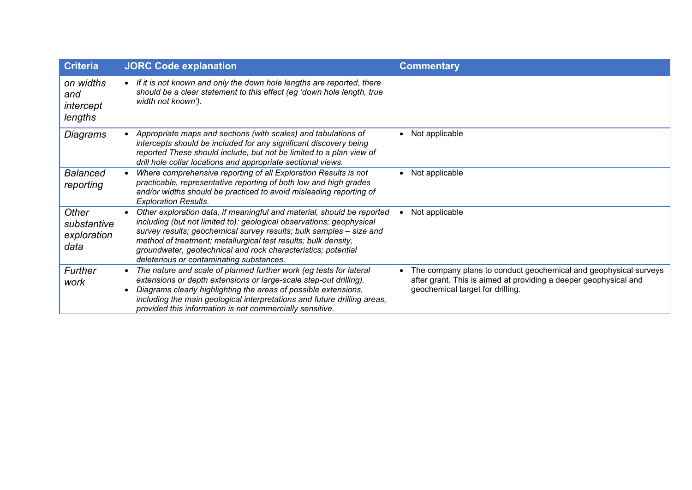| <b>Criteria</b>                             | <b>JORC Code explanation</b>                                                                                                                                                                                                                                                                                                                                                                         | <b>Commentary</b>                                                                                                                                                        |
|---------------------------------------------|------------------------------------------------------------------------------------------------------------------------------------------------------------------------------------------------------------------------------------------------------------------------------------------------------------------------------------------------------------------------------------------------------|--------------------------------------------------------------------------------------------------------------------------------------------------------------------------|
| on widths<br>and<br>intercept<br>lengths    | • If it is not known and only the down hole lengths are reported, there<br>should be a clear statement to this effect (eg 'down hole length, true<br>width not known').                                                                                                                                                                                                                              |                                                                                                                                                                          |
| Diagrams                                    | Appropriate maps and sections (with scales) and tabulations of<br>intercepts should be included for any significant discovery being<br>reported These should include, but not be limited to a plan view of<br>drill hole collar locations and appropriate sectional views.                                                                                                                           | Not applicable                                                                                                                                                           |
| <b>Balanced</b><br>reporting                | Where comprehensive reporting of all Exploration Results is not<br>practicable, representative reporting of both low and high grades<br>and/or widths should be practiced to avoid misleading reporting of<br><b>Exploration Results.</b>                                                                                                                                                            | Not applicable                                                                                                                                                           |
| Other<br>substantive<br>exploration<br>data | Other exploration data, if meaningful and material, should be reported<br>including (but not limited to): geological observations; geophysical<br>survey results; geochemical survey results; bulk samples - size and<br>method of treatment; metallurgical test results; bulk density,<br>groundwater, geotechnical and rock characteristics; potential<br>deleterious or contaminating substances. | Not applicable                                                                                                                                                           |
| Further<br>work                             | The nature and scale of planned further work (eg tests for lateral<br>extensions or depth extensions or large-scale step-out drilling).<br>Diagrams clearly highlighting the areas of possible extensions,<br>including the main geological interpretations and future drilling areas,<br>provided this information is not commercially sensitive.                                                   | The company plans to conduct geochemical and geophysical surveys<br>after grant. This is aimed at providing a deeper geophysical and<br>geochemical target for drilling. |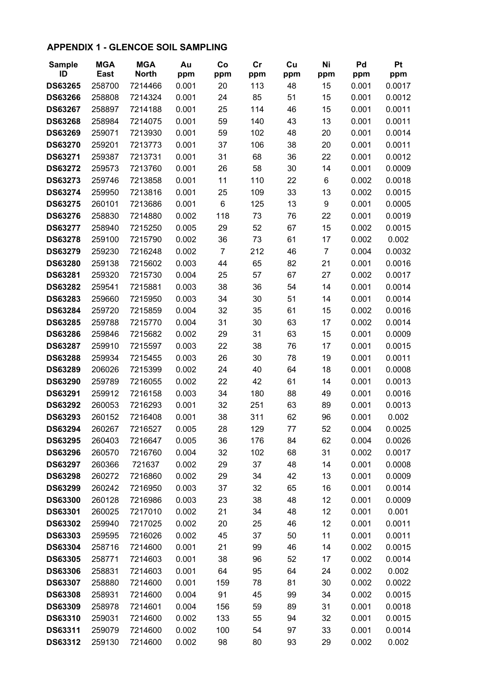### **APPENDIX 1 - GLENCOE SOIL SAMPLING**

| <b>Sample</b>  | <b>MGA</b>  | <b>MGA</b>   | Au    | Co             | cr  | Cu  | Ni             | Pd    | Pt     |
|----------------|-------------|--------------|-------|----------------|-----|-----|----------------|-------|--------|
| ID             | <b>East</b> | <b>North</b> | ppm   | ppm            | ppm | ppm | ppm            | ppm   | ppm    |
| <b>DS63265</b> | 258700      | 7214466      | 0.001 | 20             | 113 | 48  | 15             | 0.001 | 0.0017 |
| <b>DS63266</b> | 258808      | 7214324      | 0.001 | 24             | 85  | 51  | 15             | 0.001 | 0.0012 |
| <b>DS63267</b> | 258897      | 7214188      | 0.001 | 25             | 114 | 46  | 15             | 0.001 | 0.0011 |
| <b>DS63268</b> | 258984      | 7214075      | 0.001 | 59             | 140 | 43  | 13             | 0.001 | 0.0011 |
| <b>DS63269</b> | 259071      | 7213930      | 0.001 | 59             | 102 | 48  | 20             | 0.001 | 0.0014 |
| <b>DS63270</b> | 259201      | 7213773      | 0.001 | 37             | 106 | 38  | 20             | 0.001 | 0.0011 |
| <b>DS63271</b> | 259387      | 7213731      | 0.001 | 31             | 68  | 36  | 22             | 0.001 | 0.0012 |
| <b>DS63272</b> | 259573      | 7213760      | 0.001 | 26             | 58  | 30  | 14             | 0.001 | 0.0009 |
| <b>DS63273</b> | 259746      | 7213858      | 0.001 | 11             | 110 | 22  | 6              | 0.002 | 0.0018 |
| <b>DS63274</b> | 259950      | 7213816      | 0.001 | 25             | 109 | 33  | 13             | 0.002 | 0.0015 |
| <b>DS63275</b> | 260101      | 7213686      | 0.001 | 6              | 125 | 13  | 9              | 0.001 | 0.0005 |
| <b>DS63276</b> | 258830      | 7214880      | 0.002 | 118            | 73  | 76  | 22             | 0.001 | 0.0019 |
| <b>DS63277</b> | 258940      | 7215250      | 0.005 | 29             | 52  | 67  | 15             | 0.002 | 0.0015 |
| <b>DS63278</b> | 259100      | 7215790      | 0.002 | 36             | 73  | 61  | 17             | 0.002 | 0.002  |
| <b>DS63279</b> | 259230      | 7216248      | 0.002 | $\overline{7}$ | 212 | 46  | $\overline{7}$ | 0.004 | 0.0032 |
| <b>DS63280</b> | 259138      | 7215602      | 0.003 | 44             | 65  | 82  | 21             | 0.001 | 0.0016 |
| <b>DS63281</b> | 259320      | 7215730      | 0.004 | 25             | 57  | 67  | 27             | 0.002 | 0.0017 |
| <b>DS63282</b> | 259541      | 7215881      | 0.003 | 38             | 36  | 54  | 14             | 0.001 | 0.0014 |
| <b>DS63283</b> | 259660      | 7215950      | 0.003 | 34             | 30  | 51  | 14             | 0.001 | 0.0014 |
| <b>DS63284</b> | 259720      | 7215859      | 0.004 | 32             | 35  | 61  | 15             | 0.002 | 0.0016 |
| <b>DS63285</b> | 259788      | 7215770      | 0.004 | 31             | 30  | 63  | 17             | 0.002 | 0.0014 |
| <b>DS63286</b> | 259846      | 7215682      | 0.002 | 29             | 31  | 63  | 15             | 0.001 | 0.0009 |
| <b>DS63287</b> | 259910      | 7215597      | 0.003 | 22             | 38  | 76  | 17             | 0.001 | 0.0015 |
| <b>DS63288</b> | 259934      | 7215455      | 0.003 | 26             | 30  | 78  | 19             | 0.001 | 0.0011 |
| <b>DS63289</b> | 206026      | 7215399      | 0.002 | 24             | 40  | 64  | 18             | 0.001 | 0.0008 |
| <b>DS63290</b> | 259789      | 7216055      | 0.002 | 22             | 42  | 61  | 14             | 0.001 | 0.0013 |
| <b>DS63291</b> | 259912      | 7216158      | 0.003 | 34             | 180 | 88  | 49             | 0.001 | 0.0016 |
| <b>DS63292</b> | 260053      | 7216293      | 0.001 | 32             | 251 | 63  | 89             | 0.001 | 0.0013 |
| <b>DS63293</b> | 260152      | 7216408      | 0.001 | 38             | 311 | 62  | 96             | 0.001 | 0.002  |
| DS63294        | 260267      | 7216527      | 0.005 | 28             | 129 | 77  | 52             | 0.004 | 0.0025 |
| <b>DS63295</b> | 260403      | 7216647      | 0.005 | 36             | 176 | 84  | 62             | 0.004 | 0.0026 |
| <b>DS63296</b> | 260570      | 7216760      | 0.004 | 32             | 102 | 68  | 31             | 0.002 | 0.0017 |
| <b>DS63297</b> | 260366      | 721637       | 0.002 | 29             | 37  | 48  | 14             | 0.001 | 0.0008 |
| <b>DS63298</b> | 260272      | 7216860      | 0.002 | 29             | 34  | 42  | 13             | 0.001 | 0.0009 |
| <b>DS63299</b> | 260242      | 7216950      | 0.003 | 37             | 32  | 65  | 16             | 0.001 | 0.0014 |
| <b>DS63300</b> | 260128      | 7216986      | 0.003 | 23             | 38  | 48  | 12             | 0.001 | 0.0009 |
| <b>DS63301</b> | 260025      | 7217010      | 0.002 | 21             | 34  | 48  | 12             | 0.001 | 0.001  |
| <b>DS63302</b> | 259940      | 7217025      | 0.002 | 20             | 25  | 46  | 12             | 0.001 | 0.0011 |
| <b>DS63303</b> | 259595      | 7216026      | 0.002 | 45             | 37  | 50  | 11             | 0.001 | 0.0011 |
| <b>DS63304</b> | 258716      | 7214600      | 0.001 | 21             | 99  | 46  | 14             | 0.002 | 0.0015 |
| <b>DS63305</b> | 258771      | 7214603      | 0.001 | 38             | 96  | 52  | 17             | 0.002 | 0.0014 |
| <b>DS63306</b> | 258831      | 7214603      | 0.001 | 64             | 95  | 64  | 24             | 0.002 | 0.002  |
| <b>DS63307</b> | 258880      | 7214600      | 0.001 | 159            | 78  | 81  | 30             | 0.002 | 0.0022 |
| <b>DS63308</b> | 258931      | 7214600      | 0.004 | 91             | 45  | 99  | 34             | 0.002 | 0.0015 |
| <b>DS63309</b> | 258978      | 7214601      | 0.004 | 156            | 59  | 89  | 31             | 0.001 | 0.0018 |
| <b>DS63310</b> | 259031      | 7214600      | 0.002 | 133            | 55  | 94  | 32             | 0.001 | 0.0015 |
| DS63311        | 259079      | 7214600      | 0.002 | 100            | 54  | 97  | 33             | 0.001 | 0.0014 |
| DS63312        | 259130      | 7214600      | 0.002 | 98             | 80  | 93  | 29             | 0.002 | 0.002  |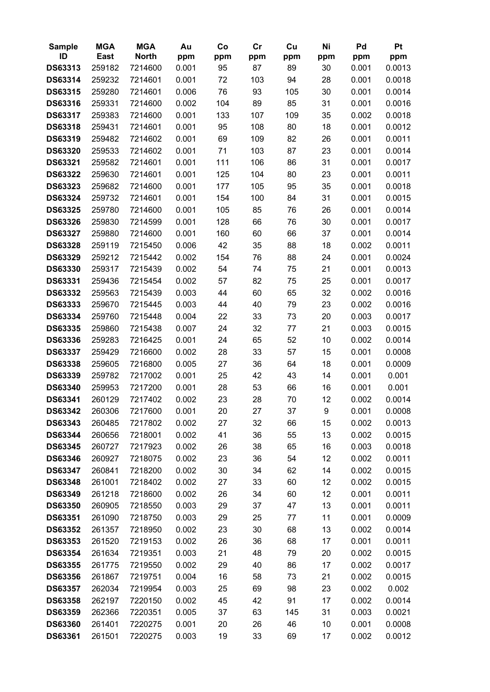| <b>Sample</b>  | <b>MGA</b> | <b>MGA</b>   | Au    | Co  | cr  | Cu  | Ni  | Pd    | Pt     |
|----------------|------------|--------------|-------|-----|-----|-----|-----|-------|--------|
| ID             | East       | <b>North</b> | ppm   | ppm | ppm | ppm | ppm | ppm   | ppm    |
| DS63313        | 259182     | 7214600      | 0.001 | 95  | 87  | 89  | 30  | 0.001 | 0.0013 |
| DS63314        | 259232     | 7214601      | 0.001 | 72  | 103 | 94  | 28  | 0.001 | 0.0018 |
| DS63315        | 259280     | 7214601      | 0.006 | 76  | 93  | 105 | 30  | 0.001 | 0.0014 |
| <b>DS63316</b> | 259331     | 7214600      | 0.002 | 104 | 89  | 85  | 31  | 0.001 | 0.0016 |
| <b>DS63317</b> | 259383     | 7214600      | 0.001 | 133 | 107 | 109 | 35  | 0.002 | 0.0018 |
| <b>DS63318</b> | 259431     | 7214601      | 0.001 | 95  | 108 | 80  | 18  | 0.001 | 0.0012 |
| <b>DS63319</b> | 259482     | 7214602      | 0.001 | 69  | 109 | 82  | 26  | 0.001 | 0.0011 |
| <b>DS63320</b> | 259533     | 7214602      | 0.001 | 71  | 103 | 87  | 23  | 0.001 | 0.0014 |
| <b>DS63321</b> | 259582     | 7214601      | 0.001 | 111 | 106 | 86  | 31  | 0.001 | 0.0017 |
| <b>DS63322</b> | 259630     | 7214601      | 0.001 | 125 | 104 | 80  | 23  | 0.001 | 0.0011 |
| <b>DS63323</b> | 259682     | 7214600      | 0.001 | 177 | 105 | 95  | 35  | 0.001 | 0.0018 |
| DS63324        | 259732     | 7214601      | 0.001 | 154 | 100 | 84  | 31  | 0.001 | 0.0015 |
| <b>DS63325</b> | 259780     | 7214600      | 0.001 | 105 | 85  | 76  | 26  | 0.001 | 0.0014 |
| <b>DS63326</b> | 259830     | 7214599      | 0.001 | 128 | 66  | 76  | 30  | 0.001 | 0.0017 |
| <b>DS63327</b> | 259880     | 7214600      | 0.001 | 160 | 60  | 66  | 37  | 0.001 | 0.0014 |
| <b>DS63328</b> | 259119     | 7215450      | 0.006 | 42  | 35  | 88  | 18  | 0.002 | 0.0011 |
| <b>DS63329</b> | 259212     | 7215442      | 0.002 | 154 | 76  | 88  | 24  | 0.001 | 0.0024 |
| <b>DS63330</b> | 259317     | 7215439      | 0.002 | 54  | 74  | 75  | 21  | 0.001 | 0.0013 |
| DS63331        | 259436     | 7215454      | 0.002 | 57  | 82  | 75  | 25  | 0.001 | 0.0017 |
| <b>DS63332</b> | 259563     | 7215439      | 0.003 | 44  | 60  | 65  | 32  | 0.002 | 0.0016 |
| <b>DS63333</b> | 259670     | 7215445      | 0.003 | 44  | 40  | 79  | 23  | 0.002 | 0.0016 |
| DS63334        | 259760     | 7215448      | 0.004 | 22  | 33  | 73  | 20  | 0.003 | 0.0017 |
| <b>DS63335</b> | 259860     | 7215438      | 0.007 | 24  | 32  | 77  | 21  | 0.003 | 0.0015 |
| <b>DS63336</b> | 259283     | 7216425      | 0.001 | 24  | 65  | 52  | 10  | 0.002 | 0.0014 |
| <b>DS63337</b> | 259429     | 7216600      | 0.002 | 28  | 33  | 57  | 15  | 0.001 | 0.0008 |
| <b>DS63338</b> | 259605     | 7216800      | 0.005 | 27  | 36  | 64  | 18  | 0.001 | 0.0009 |
| <b>DS63339</b> | 259782     | 7217002      | 0.001 | 25  | 42  | 43  | 14  | 0.001 | 0.001  |
| DS63340        | 259953     | 7217200      | 0.001 | 28  | 53  | 66  | 16  | 0.001 | 0.001  |
| DS63341        | 260129     | 7217402      | 0.002 | 23  | 28  | 70  | 12  | 0.002 | 0.0014 |
| DS63342        | 260306     | 7217600      | 0.001 | 20  | 27  | 37  | 9   | 0.001 | 0.0008 |
| DS63343        | 260485     | 7217802      | 0.002 | 27  | 32  | 66  | 15  | 0.002 | 0.0013 |
| <b>DS63344</b> | 260656     | 7218001      | 0.002 | 41  | 36  | 55  | 13  | 0.002 | 0.0015 |
| DS63345        | 260727     | 7217923      | 0.002 | 26  | 38  | 65  | 16  | 0.003 | 0.0018 |
| DS63346        | 260927     | 7218075      | 0.002 | 23  | 36  | 54  | 12  | 0.002 | 0.0011 |
| DS63347        | 260841     | 7218200      | 0.002 | 30  | 34  | 62  | 14  | 0.002 | 0.0015 |
| <b>DS63348</b> | 261001     | 7218402      | 0.002 | 27  | 33  | 60  | 12  | 0.002 | 0.0015 |
| DS63349        | 261218     | 7218600      | 0.002 | 26  | 34  | 60  | 12  | 0.001 | 0.0011 |
| <b>DS63350</b> | 260905     | 7218550      | 0.003 | 29  | 37  | 47  | 13  | 0.001 | 0.0011 |
| <b>DS63351</b> | 261090     | 7218750      | 0.003 | 29  | 25  | 77  | 11  | 0.001 | 0.0009 |
| <b>DS63352</b> | 261357     | 7218950      | 0.002 | 23  | 30  | 68  | 13  | 0.002 | 0.0014 |
| <b>DS63353</b> | 261520     | 7219153      | 0.002 | 26  | 36  | 68  | 17  | 0.001 | 0.0011 |
| DS63354        | 261634     | 7219351      | 0.003 | 21  | 48  | 79  | 20  | 0.002 | 0.0015 |
| <b>DS63355</b> | 261775     | 7219550      | 0.002 | 29  | 40  | 86  | 17  | 0.002 | 0.0017 |
| <b>DS63356</b> | 261867     | 7219751      | 0.004 | 16  | 58  | 73  | 21  | 0.002 | 0.0015 |
| <b>DS63357</b> | 262034     | 7219954      | 0.003 | 25  | 69  | 98  | 23  | 0.002 | 0.002  |
| <b>DS63358</b> | 262197     | 7220150      | 0.002 | 45  | 42  | 91  | 17  | 0.002 | 0.0014 |
| <b>DS63359</b> | 262366     | 7220351      | 0.005 | 37  | 63  | 145 | 31  | 0.003 | 0.0021 |
| <b>DS63360</b> | 261401     | 7220275      | 0.001 | 20  | 26  | 46  | 10  | 0.001 | 0.0008 |
| <b>DS63361</b> | 261501     | 7220275      | 0.003 | 19  | 33  | 69  | 17  | 0.002 | 0.0012 |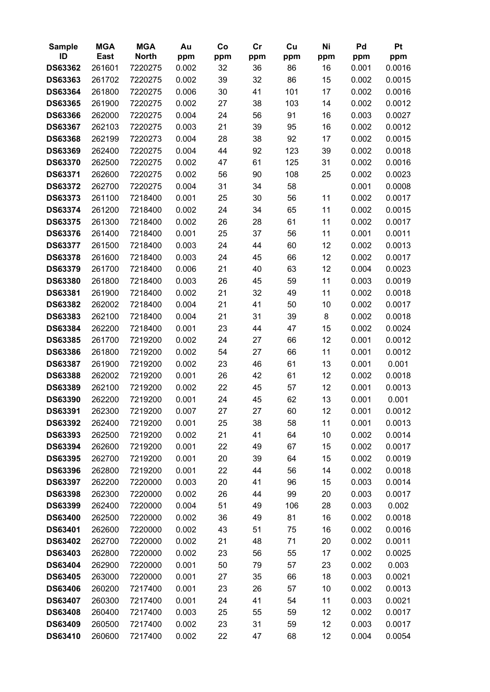| <b>Sample</b>  | <b>MGA</b>  | <b>MGA</b>   | Au    | Co  | cr  | Cu  | Ni  | Pd    | Pt     |
|----------------|-------------|--------------|-------|-----|-----|-----|-----|-------|--------|
| ID             | <b>East</b> | <b>North</b> | ppm   | ppm | ppm | ppm | ppm | ppm   | ppm    |
| <b>DS63362</b> | 261601      | 7220275      | 0.002 | 32  | 36  | 86  | 16  | 0.001 | 0.0016 |
| <b>DS63363</b> | 261702      | 7220275      | 0.002 | 39  | 32  | 86  | 15  | 0.002 | 0.0015 |
| <b>DS63364</b> | 261800      | 7220275      | 0.006 | 30  | 41  | 101 | 17  | 0.002 | 0.0016 |
| <b>DS63365</b> | 261900      | 7220275      | 0.002 | 27  | 38  | 103 | 14  | 0.002 | 0.0012 |
| <b>DS63366</b> | 262000      | 7220275      | 0.004 | 24  | 56  | 91  | 16  | 0.003 | 0.0027 |
| <b>DS63367</b> | 262103      | 7220275      | 0.003 | 21  | 39  | 95  | 16  | 0.002 | 0.0012 |
| <b>DS63368</b> | 262199      | 7220273      | 0.004 | 28  | 38  | 92  | 17  | 0.002 | 0.0015 |
| <b>DS63369</b> | 262400      | 7220275      | 0.004 | 44  | 92  | 123 | 39  | 0.002 | 0.0018 |
| <b>DS63370</b> | 262500      | 7220275      | 0.002 | 47  | 61  | 125 | 31  | 0.002 | 0.0016 |
| <b>DS63371</b> | 262600      | 7220275      | 0.002 | 56  | 90  | 108 | 25  | 0.002 | 0.0023 |
| <b>DS63372</b> | 262700      | 7220275      | 0.004 | 31  | 34  | 58  |     | 0.001 | 0.0008 |
| <b>DS63373</b> | 261100      | 7218400      | 0.001 | 25  | 30  | 56  | 11  | 0.002 | 0.0017 |
| <b>DS63374</b> | 261200      | 7218400      | 0.002 | 24  | 34  | 65  | 11  | 0.002 | 0.0015 |
| <b>DS63375</b> | 261300      | 7218400      | 0.002 | 26  | 28  | 61  | 11  | 0.002 | 0.0017 |
| <b>DS63376</b> | 261400      | 7218400      | 0.001 | 25  | 37  | 56  | 11  | 0.001 | 0.0011 |
| <b>DS63377</b> | 261500      | 7218400      | 0.003 | 24  | 44  | 60  | 12  | 0.002 | 0.0013 |
| <b>DS63378</b> | 261600      | 7218400      | 0.003 | 24  | 45  | 66  | 12  | 0.002 | 0.0017 |
| <b>DS63379</b> | 261700      | 7218400      | 0.006 | 21  | 40  | 63  | 12  | 0.004 | 0.0023 |
| <b>DS63380</b> | 261800      | 7218400      | 0.003 | 26  | 45  | 59  | 11  | 0.003 | 0.0019 |
| <b>DS63381</b> | 261900      | 7218400      | 0.002 | 21  | 32  | 49  | 11  | 0.002 | 0.0018 |
| <b>DS63382</b> | 262002      | 7218400      | 0.004 | 21  | 41  | 50  | 10  | 0.002 | 0.0017 |
| <b>DS63383</b> | 262100      | 7218400      | 0.004 | 21  | 31  | 39  | 8   | 0.002 | 0.0018 |
| <b>DS63384</b> | 262200      | 7218400      | 0.001 | 23  | 44  | 47  | 15  | 0.002 | 0.0024 |
| <b>DS63385</b> | 261700      | 7219200      | 0.002 | 24  | 27  | 66  | 12  | 0.001 | 0.0012 |
| <b>DS63386</b> | 261800      | 7219200      | 0.002 | 54  | 27  | 66  | 11  | 0.001 | 0.0012 |
| <b>DS63387</b> | 261900      | 7219200      | 0.002 | 23  | 46  | 61  | 13  | 0.001 | 0.001  |
| <b>DS63388</b> | 262002      | 7219200      | 0.001 | 26  | 42  | 61  | 12  | 0.002 | 0.0018 |
| <b>DS63389</b> | 262100      | 7219200      | 0.002 | 22  | 45  | 57  | 12  | 0.001 | 0.0013 |
| <b>DS63390</b> | 262200      | 7219200      | 0.001 | 24  | 45  | 62  | 13  | 0.001 | 0.001  |
| DS63391        | 262300      | 7219200      | 0.007 | 27  | 27  | 60  | 12  | 0.001 | 0.0012 |
| <b>DS63392</b> | 262400      | 7219200      | 0.001 | 25  | 38  | 58  | 11  | 0.001 | 0.0013 |
| <b>DS63393</b> | 262500      | 7219200      | 0.002 | 21  | 41  | 64  | 10  | 0.002 | 0.0014 |
| <b>DS63394</b> | 262600      | 7219200      | 0.001 | 22  | 49  | 67  | 15  | 0.002 | 0.0017 |
| <b>DS63395</b> | 262700      | 7219200      | 0.001 | 20  | 39  | 64  | 15  | 0.002 | 0.0019 |
| <b>DS63396</b> | 262800      | 7219200      | 0.001 | 22  | 44  | 56  | 14  | 0.002 | 0.0018 |
| <b>DS63397</b> | 262200      | 7220000      | 0.003 | 20  | 41  | 96  | 15  | 0.003 | 0.0014 |
| <b>DS63398</b> | 262300      | 7220000      | 0.002 | 26  | 44  | 99  | 20  | 0.003 | 0.0017 |
| <b>DS63399</b> | 262400      | 7220000      | 0.004 | 51  | 49  | 106 | 28  | 0.003 | 0.002  |
| <b>DS63400</b> | 262500      | 7220000      | 0.002 | 36  | 49  | 81  | 16  | 0.002 | 0.0018 |
| <b>DS63401</b> | 262600      | 7220000      | 0.002 | 43  | 51  | 75  | 16  | 0.002 | 0.0016 |
| <b>DS63402</b> | 262700      | 7220000      | 0.002 | 21  | 48  | 71  | 20  | 0.002 | 0.0011 |
| <b>DS63403</b> | 262800      | 7220000      | 0.002 | 23  | 56  | 55  | 17  | 0.002 | 0.0025 |
| <b>DS63404</b> | 262900      | 7220000      | 0.001 | 50  | 79  | 57  | 23  | 0.002 | 0.003  |
| <b>DS63405</b> | 263000      | 7220000      | 0.001 | 27  | 35  | 66  | 18  | 0.003 | 0.0021 |
| <b>DS63406</b> | 260200      | 7217400      | 0.001 | 23  | 26  | 57  | 10  | 0.002 | 0.0013 |
| <b>DS63407</b> | 260300      | 7217400      | 0.001 | 24  | 41  | 54  | 11  | 0.003 | 0.0021 |
| <b>DS63408</b> | 260400      | 7217400      | 0.003 | 25  | 55  | 59  | 12  | 0.002 | 0.0017 |
| <b>DS63409</b> | 260500      | 7217400      | 0.002 | 23  | 31  | 59  | 12  | 0.003 | 0.0017 |
| DS63410        | 260600      | 7217400      | 0.002 | 22  | 47  | 68  | 12  | 0.004 | 0.0054 |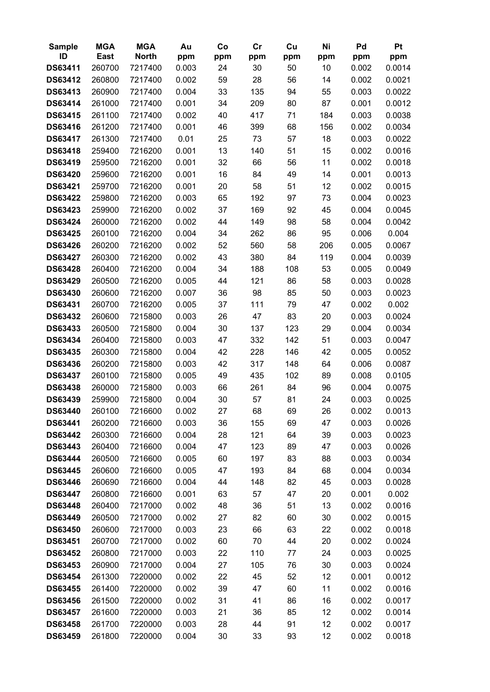| <b>Sample</b>  | <b>MGA</b> | <b>MGA</b>   | Au    | Co  | cr  | Cu  | Ni  | Pd    | Pt     |
|----------------|------------|--------------|-------|-----|-----|-----|-----|-------|--------|
| ID             | East       | <b>North</b> | ppm   | ppm | ppm | ppm | ppm | ppm   | ppm    |
| DS63411        | 260700     | 7217400      | 0.003 | 24  | 30  | 50  | 10  | 0.002 | 0.0014 |
| <b>DS63412</b> | 260800     | 7217400      | 0.002 | 59  | 28  | 56  | 14  | 0.002 | 0.0021 |
| DS63413        | 260900     | 7217400      | 0.004 | 33  | 135 | 94  | 55  | 0.003 | 0.0022 |
| <b>DS63414</b> | 261000     | 7217400      | 0.001 | 34  | 209 | 80  | 87  | 0.001 | 0.0012 |
| <b>DS63415</b> | 261100     | 7217400      | 0.002 | 40  | 417 | 71  | 184 | 0.003 | 0.0038 |
| <b>DS63416</b> | 261200     | 7217400      | 0.001 | 46  | 399 | 68  | 156 | 0.002 | 0.0034 |
| <b>DS63417</b> | 261300     | 7217400      | 0.01  | 25  | 73  | 57  | 18  | 0.003 | 0.0022 |
| <b>DS63418</b> | 259400     | 7216200      | 0.001 | 13  | 140 | 51  | 15  | 0.002 | 0.0016 |
| <b>DS63419</b> | 259500     | 7216200      | 0.001 | 32  | 66  | 56  | 11  | 0.002 | 0.0018 |
| <b>DS63420</b> | 259600     | 7216200      | 0.001 | 16  | 84  | 49  | 14  | 0.001 | 0.0013 |
| DS63421        | 259700     | 7216200      | 0.001 | 20  | 58  | 51  | 12  | 0.002 | 0.0015 |
| <b>DS63422</b> | 259800     | 7216200      | 0.003 | 65  | 192 | 97  | 73  | 0.004 | 0.0023 |
| <b>DS63423</b> | 259900     | 7216200      | 0.002 | 37  | 169 | 92  | 45  | 0.004 | 0.0045 |
| DS63424        | 260000     | 7216200      | 0.002 | 44  | 149 | 98  | 58  | 0.004 | 0.0042 |
| <b>DS63425</b> | 260100     | 7216200      | 0.004 | 34  | 262 | 86  | 95  | 0.006 | 0.004  |
| <b>DS63426</b> | 260200     | 7216200      | 0.002 | 52  | 560 | 58  | 206 | 0.005 | 0.0067 |
| <b>DS63427</b> | 260300     | 7216200      | 0.002 | 43  | 380 | 84  | 119 | 0.004 | 0.0039 |
| <b>DS63428</b> | 260400     | 7216200      | 0.004 | 34  | 188 | 108 | 53  | 0.005 | 0.0049 |
| <b>DS63429</b> | 260500     | 7216200      | 0.005 | 44  | 121 | 86  | 58  | 0.003 | 0.0028 |
| <b>DS63430</b> | 260600     | 7216200      | 0.007 | 36  | 98  | 85  | 50  | 0.003 | 0.0023 |
| DS63431        | 260700     | 7216200      | 0.005 | 37  | 111 | 79  | 47  | 0.002 | 0.002  |
| DS63432        | 260600     | 7215800      | 0.003 | 26  | 47  | 83  | 20  | 0.003 | 0.0024 |
| DS63433        | 260500     | 7215800      | 0.004 | 30  | 137 | 123 | 29  | 0.004 | 0.0034 |
| DS63434        | 260400     | 7215800      | 0.003 | 47  | 332 | 142 | 51  | 0.003 | 0.0047 |
| <b>DS63435</b> | 260300     | 7215800      | 0.004 | 42  | 228 | 146 | 42  | 0.005 | 0.0052 |
| <b>DS63436</b> | 260200     | 7215800      | 0.003 | 42  | 317 | 148 | 64  | 0.006 | 0.0087 |
| <b>DS63437</b> | 260100     | 7215800      | 0.005 | 49  | 435 | 102 | 89  | 0.008 | 0.0105 |
| <b>DS63438</b> | 260000     | 7215800      | 0.003 | 66  | 261 | 84  | 96  | 0.004 | 0.0075 |
| <b>DS63439</b> | 259900     | 7215800      | 0.004 | 30  | 57  | 81  | 24  | 0.003 | 0.0025 |
| DS63440        | 260100     | 7216600      | 0.002 | 27  | 68  | 69  | 26  | 0.002 | 0.0013 |
| DS63441        | 260200     | 7216600      | 0.003 | 36  | 155 | 69  | 47  | 0.003 | 0.0026 |
| DS63442        | 260300     | 7216600      | 0.004 | 28  | 121 | 64  | 39  | 0.003 | 0.0023 |
| DS63443        | 260400     | 7216600      | 0.004 | 47  | 123 | 89  | 47  | 0.003 | 0.0026 |
| DS63444        | 260500     | 7216600      | 0.005 | 60  | 197 | 83  | 88  | 0.003 | 0.0034 |
| <b>DS63445</b> | 260600     | 7216600      | 0.005 | 47  | 193 | 84  | 68  | 0.004 | 0.0034 |
| <b>DS63446</b> | 260690     | 7216600      | 0.004 | 44  | 148 | 82  | 45  | 0.003 | 0.0028 |
| <b>DS63447</b> | 260800     | 7216600      | 0.001 | 63  | 57  | 47  | 20  | 0.001 | 0.002  |
| <b>DS63448</b> | 260400     | 7217000      | 0.002 | 48  | 36  | 51  | 13  | 0.002 | 0.0016 |
| DS63449        | 260500     | 7217000      | 0.002 | 27  | 82  | 60  | 30  | 0.002 | 0.0015 |
| <b>DS63450</b> | 260600     | 7217000      | 0.003 | 23  | 66  | 63  | 22  | 0.002 | 0.0018 |
| <b>DS63451</b> | 260700     | 7217000      | 0.002 | 60  | 70  | 44  | 20  | 0.002 | 0.0024 |
| <b>DS63452</b> | 260800     | 7217000      | 0.003 | 22  | 110 | 77  | 24  | 0.003 | 0.0025 |
| DS63453        | 260900     | 7217000      | 0.004 | 27  | 105 | 76  | 30  | 0.003 | 0.0024 |
| <b>DS63454</b> | 261300     | 7220000      | 0.002 | 22  | 45  | 52  | 12  | 0.001 | 0.0012 |
| <b>DS63455</b> | 261400     | 7220000      | 0.002 | 39  | 47  | 60  | 11  | 0.002 | 0.0016 |
| <b>DS63456</b> | 261500     | 7220000      | 0.002 | 31  | 41  | 86  | 16  | 0.002 | 0.0017 |
| <b>DS63457</b> | 261600     | 7220000      | 0.003 | 21  | 36  | 85  | 12  | 0.002 | 0.0014 |
| <b>DS63458</b> | 261700     | 7220000      | 0.003 | 28  | 44  | 91  | 12  | 0.002 | 0.0017 |
| <b>DS63459</b> | 261800     | 7220000      | 0.004 | 30  | 33  | 93  | 12  | 0.002 | 0.0018 |